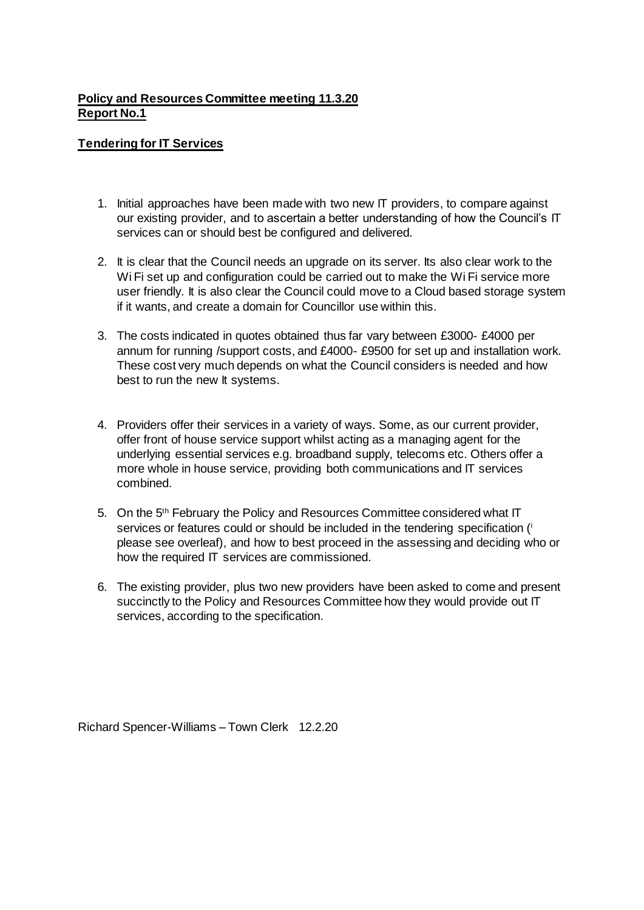## **Policy and Resources Committee meeting 11.3.20 Report No.1**

## **Tendering for IT Services**

- 1. Initial approaches have been made with two new IT providers, to compare against our existing provider, and to ascertain a better understanding of how the Council's IT services can or should best be configured and delivered.
- 2. It is clear that the Council needs an upgrade on its server. Its also clear work to the Wi Fi set up and configuration could be carried out to make the Wi Fi service more user friendly. It is also clear the Council could move to a Cloud based storage system if it wants, and create a domain for Councillor use within this.
- 3. The costs indicated in quotes obtained thus far vary between £3000- £4000 per annum for running /support costs, and £4000- £9500 for set up and installation work. These cost very much depends on what the Council considers is needed and how best to run the new It systems.
- 4. Providers offer their services in a variety of ways. Some, as our current provider, offer front of house service support whilst acting as a managing agent for the underlying essential services e.g. broadband supply, telecoms etc. Others offer a more whole in house service, providing both communications and IT services combined.
- 5. On the 5<sup>th</sup> February the Policy and Resources Committee considered what IT services or features could or should be included in the tendering specification (i) please see overleaf), and how to best proceed in the assessing and deciding who or how the required IT services are commissioned.
- 6. The existing provider, plus two new providers have been asked to come and present succinctly to the Policy and Resources Committee how they would provide out IT services, according to the specification.

Richard Spencer-Williams – Town Clerk 12.2.20